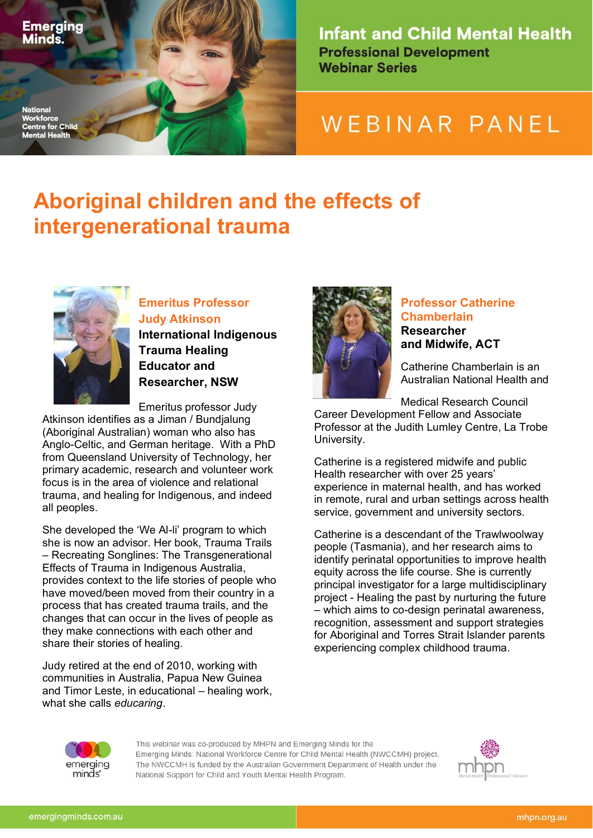

**Nationa** 

**Centre for Child Mental Health** 

**Infant and Child Mental Health Professional Development Webinar Series** 

# WEBINAR PANEL

## **Aboriginal children and the effects of intergenerational trauma**



## **Emeritus Professor Judy Atkinson International Indigenous**

**Trauma Healing Educator and Researcher, NSW**

Emeritus professor Judy Atkinson identifies as a Jiman / Bundjalung (Aboriginal Australian) woman who also has Anglo-Celtic, and German heritage. With a PhD

from Queensland University of Technology, her primary academic, research and volunteer work focus is in the area of violence and relational trauma, and healing for Indigenous, and indeed all peoples.

She developed the 'We Al-li' program to which she is now an advisor. Her book, Trauma Trails – Recreating Songlines: The Transgenerational Effects of Trauma in Indigenous Australia, provides context to the life stories of people who have moved/been moved from their country in a process that has created trauma trails, and the changes that can occur in the lives of people as they make connections with each other and share their stories of healing.

Judy retired at the end of 2010, working with communities in Australia, Papua New Guinea and Timor Leste, in educational – healing work, what she calls *educaring*.



#### **Professor Catherine Chamberlain Researcher and Midwife, ACT**

Catherine Chamberlain is an Australian National Health and

Medical Research Council

Career Development Fellow and Associate Professor at the Judith Lumley Centre, La Trobe University.

Catherine is a registered midwife and public Health researcher with over 25 years' experience in maternal health, and has worked in remote, rural and urban settings across health service, government and university sectors.

Catherine is a descendant of the Trawlwoolway people (Tasmania), and her research aims to identify perinatal opportunities to improve health equity across the life course. She is currently principal investigator for a large multidisciplinary project - Healing the past by nurturing the future – which aims to co-design perinatal awareness, recognition, assessment and support strategies for Aboriginal and Torres Strait Islander parents experiencing complex childhood trauma.



This webinar was co-produced by MHPN and Emerging Minds for the Emerging Minds: National Workforce Centre for Child Mental Health (NWCCMH) project. The NWCCMH is funded by the Australian Government Department of Health under the National Support for Child and Youth Mental Health Program.

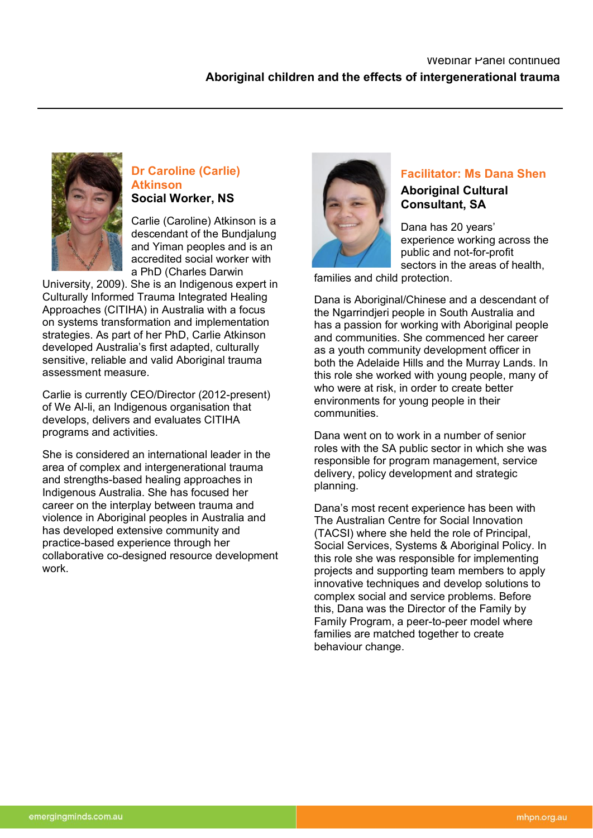

### **Dr Caroline (Carlie) Atkinson Social Worker, NS**

Carlie (Caroline) Atkinson is a descendant of the Bundjalung and Yiman peoples and is an accredited social worker with a PhD (Charles Darwin

University, 2009). She is an Indigenous expert in Culturally Informed Trauma Integrated Healing Approaches (CITIHA) in Australia with a focus on systems transformation and implementation strategies. As part of her PhD, Carlie Atkinson developed Australia's first adapted, culturally sensitive, reliable and valid Aboriginal trauma assessment measure.

Carlie is currently CEO/Director (2012-present) of We Al-li, an Indigenous organisation that develops, delivers and evaluates CITIHA programs and activities.

She is considered an international leader in the area of complex and intergenerational trauma and strengths-based healing approaches in Indigenous Australia. She has focused her career on the interplay between trauma and violence in Aboriginal peoples in Australia and has developed extensive community and practice-based experience through her collaborative co-designed resource development work.



### **Facilitator: Ms Dana Shen**

#### **Aboriginal Cultural Consultant, SA**

Dana has 20 years' experience working across the public and not-for-profit sectors in the areas of health, families and child protection.

Dana is Aboriginal/Chinese and a descendant of the Ngarrindjeri people in South Australia and has a passion for working with Aboriginal people and communities. She commenced her career as a youth community development officer in both the Adelaide Hills and the Murray Lands. In this role she worked with young people, many of who were at risk, in order to create better environments for young people in their communities.

Dana went on to work in a number of senior roles with the SA public sector in which she was responsible for program management, service delivery, policy development and strategic planning.

Dana's most recent experience has been with The Australian Centre for Social Innovation (TACSI) where she held the role of Principal, Social Services, Systems & Aboriginal Policy. In this role she was responsible for implementing projects and supporting team members to apply innovative techniques and develop solutions to complex social and service problems. Before this, Dana was the Director of the Family by Family Program, a peer-to-peer model where families are matched together to create behaviour change.